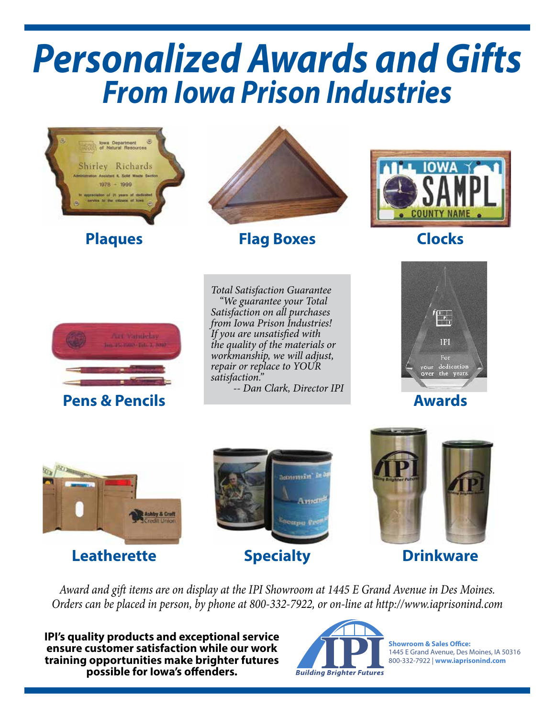# *Personalized Awards and Gifts From Iowa Prison Industries*



### **Leatherette**



### **Specialty Drinkware**



*Award and gift items are on display at the IPI Showroom at 1445 E Grand Avenue in Des Moines. Orders can be placed in person, by phone at 800-332-7922, or on-line at http://www.iaprisonind.com*

**IPI's quality products and exceptional service ensure customer satisfaction while our work training opportunities make brighter futures possible for Iowa's offenders.**



**Showroom & Sales Office:**  1445 E Grand Avenue, Des Moines, IA 50316 800-332-7922 | **www.iaprisonind.com**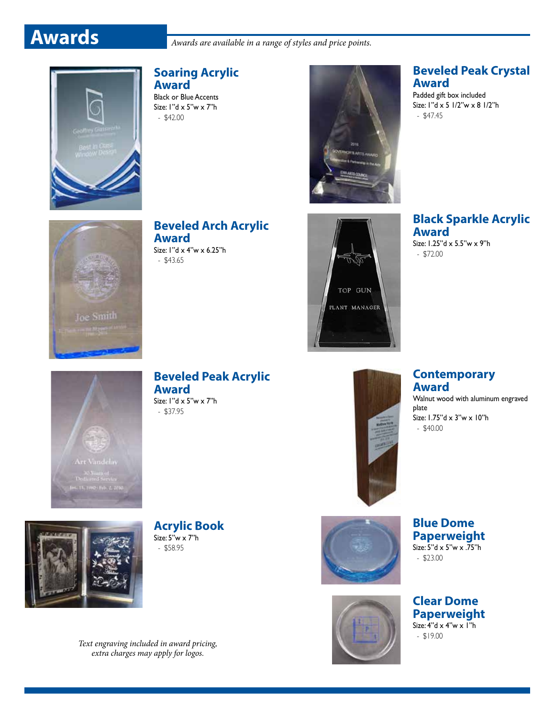**Awards** *Awards are available in a range of styles and price points.* 



### **Soaring Acrylic Award**

Black or Blue Accents Size: 1"d x 5"w x 7"h - \$42.00



### **Beveled Peak Crystal Award**

Padded gift box included Size: 1"d x 5 1/2"w x 8 1/2"h - \$47.45



**Beveled Arch Acrylic Award**

Size: 1"d x 4"w x 6.25"h - \$43.65



**Black Sparkle Acrylic Award** Size: 1.25"d x 5.5"w x 9"h

- \$72.00



**Beveled Peak Acrylic Award** Size: 1"d x 5"w x 7"h

- \$37.95



### **Contemporary Award**

Walnut wood with aluminum engraved plate Size: 1.75"d x 3"w x 10"h - \$40.00

![](_page_1_Picture_20.jpeg)

**Acrylic Book** Size:  $5"w \times 7"h$ - \$58.95

![](_page_1_Picture_22.jpeg)

![](_page_1_Picture_23.jpeg)

**Clear Dome Paperweight** Size:  $4"d \times 4"w \times 1"h$  $-$  \$19.00

*Text engraving included in award pricing, extra charges may apply for logos.*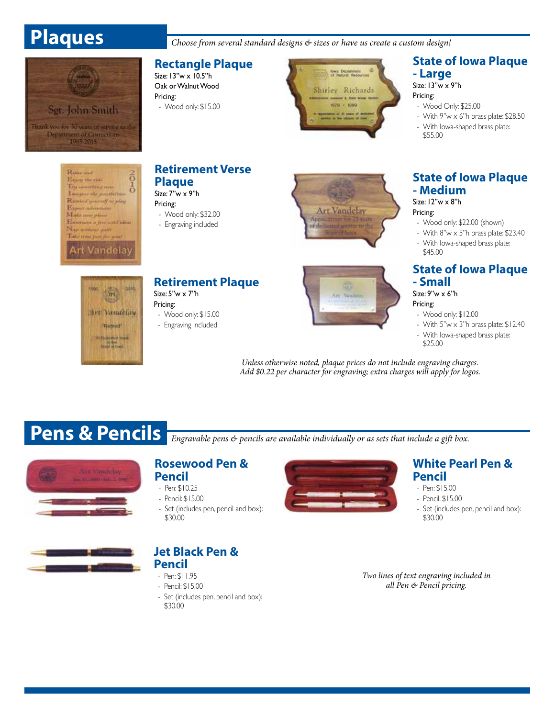Sgt. John Smith

Thank you for 30 years of service to the<br>Department of Corrections<br>- 1985-2015

 **Plaques** *Choose from several standard designs & sizes or have us create a custom design!*

### **Rectangle Plaque**

Size: 13"w x 10.5"h Oak or Walnut Wood Pricing: - Wood only: \$15.00

![](_page_2_Picture_4.jpeg)

### **State of Iowa Plaque - Large**

Size: 13"w x 9"h

Pricing:

- Wood Only: \$25.00
- With  $9''w \times 6''h$  brass plate: \$28.50
- With Iowa-shaped brass plate: \$55.00

Referent ó Happy the risks **Try semething new**  $\ddot{\text{o}}$ Imagine the presidential Remind general to play Expert adventures Make new plans Entertain a few wild ideas Napractioner quart Take rone pair for you Art Vandelay

### **Retirement Verse Plaque**

Size: 7"w x 9"h Pricing:

- Wood only: \$32.00
- Engraving included

![](_page_2_Picture_16.jpeg)

### **State of Iowa Plaque - Medium**

Size: 12"w x 8"h

- Pricing:
- Wood only: \$22.00 (shown) - With  $8''w \times 5''h$  brass plate: \$23.40

- With Iowa-shaped brass plate: \$45.00

### **State of Iowa Plaque - Small**

Size: 9"w x 6"h

Pricing: - Wood only: \$12.00

- With  $5"w \times 3"h$  brass plate:  $$12.40$
- With Iowa-shaped brass plate:
- \$25.00

*Unless otherwise noted, plaque prices do not include engraving charges. Add \$0.22 per character for engraving; extra charges will apply for logos.*

**New Vandelay** 

**Pens & Pencils** *Engravable pens & pencils are available individually or as sets that include a gift box.* 

### **Rosewood Pen &**

- **Pencil**
- Pen: \$10.25
- Pencil: \$15.00
- Set (includes pen, pencil and box): \$30.00

![](_page_2_Picture_36.jpeg)

### **Jet Black Pen & Pencil**

- Pen: \$11.95
- Pencil: \$15.00
- Set (includes pen, pencil and box): \$30.00

![](_page_2_Picture_41.jpeg)

### **White Pearl Pen & Pencil**

- Pen: \$15.00
- Pencil: \$15.00
- Set (includes pen, pencil and box): \$30.00

*Two lines of text engraving included in all Pen & Pencil pricing.*

![](_page_2_Picture_47.jpeg)

![](_page_2_Picture_48.jpeg)

## **Retirement Plaque**

Size: 5"w x 7"h

Pricing: - Wood only: \$15.00

- Engraving included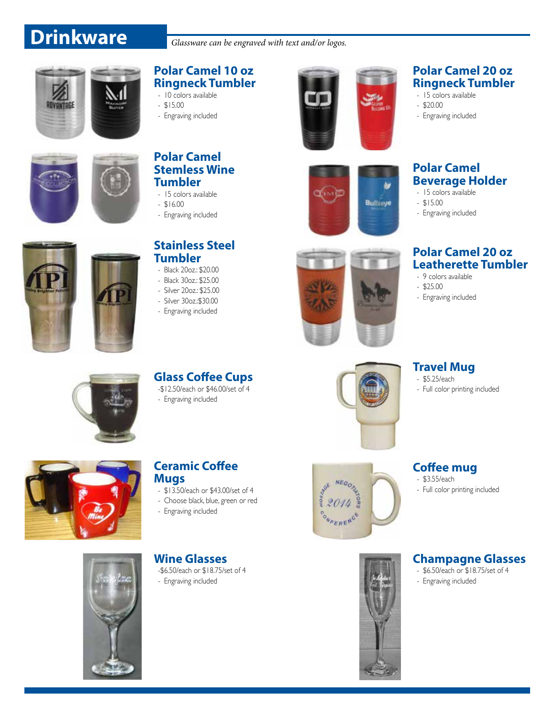## **Drinkware** *Glassware can be engraved with text and/or logos.*

![](_page_3_Picture_2.jpeg)

### **Polar Camel 10 oz Ringneck Tumbler**

- 10 colors available
- \$15.00
- Engraving included

![](_page_3_Picture_7.jpeg)

![](_page_3_Picture_8.jpeg)

### **Polar Camel Stemless Wine Tumbler**

- 15 colors available
- $-$  \$16.00
- Engraving included

![](_page_3_Picture_13.jpeg)

### **Stainless Steel Tumbler**

- Black 20oz.: \$20.00
- Black 30oz.: \$25.00
- Silver 20oz.: \$25.00
- Silver 30oz.:\$30.00
- Engraving included

![](_page_3_Picture_20.jpeg)

### **Polar Camel 20 oz Ringneck Tumbler**

- 15 colors available
- \$20.00
- Engraving included

### **Polar Camel Beverage Holder** - 15 colors available

hir

**Bullseye** 

- $-$  \$15.00
- Engraving included

### **Polar Camel 20 oz Leatherette Tumbler**

- 9 colors available
- \$25.00
- Engraving included

![](_page_3_Picture_34.jpeg)

- Engraving included

![](_page_3_Picture_36.jpeg)

### **Ceramic Coffee Mugs**

- \$13.50/each or \$43.00/set of 4
- Choose black, blue, green or red
- Engraving included

**Wine Glasses** -\$6.50/each or \$18.75/set of 4

- Engraving included

![](_page_3_Picture_45.jpeg)

![](_page_3_Picture_46.jpeg)

**Travel Mug** - \$5.25/each

- Full color printing included

### **Coffee mug**

- \$3.55/each - Full color printing included

### **Champagne Glasses**

- \$6.50/each or \$18.75/set of 4 - Engraving included

![](_page_3_Picture_52.jpeg)

![](_page_3_Picture_53.jpeg)

![](_page_3_Picture_54.jpeg)

![](_page_3_Picture_55.jpeg)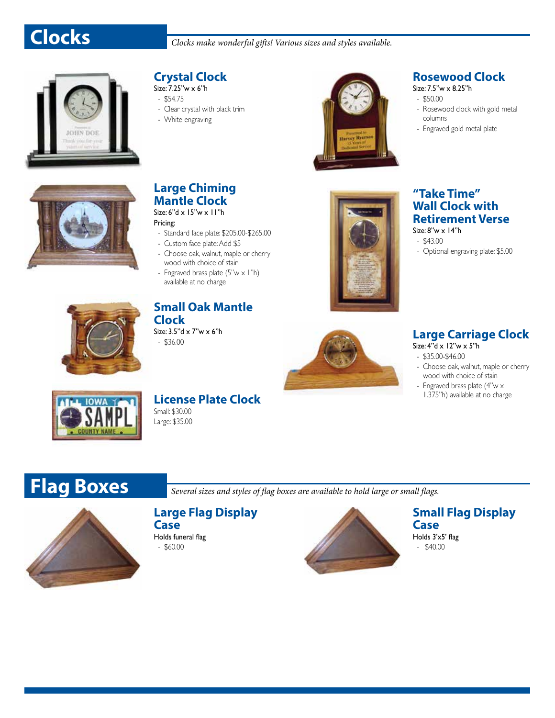![](_page_4_Picture_0.jpeg)

![](_page_4_Picture_2.jpeg)

### **Crystal Clock**

- Size: 7.25"w x 6"h - \$54.75
- Clear crystal with black trim
- White engraving

![](_page_4_Picture_7.jpeg)

### **Rosewood Clock**

- Size: 7.5"w x 8.25"h
- \$50.00 - Rosewood clock with gold metal columns
- Engraved gold metal plate

![](_page_4_Picture_12.jpeg)

### **Large Chiming Mantle Clock**

### Size: 6"d x 15"w x 11"h Pricing:

- Standard face plate: \$205.00-\$265.00
- Custom face plate: Add \$5
- Choose oak, walnut, maple or cherry wood with choice of stain
- Engraved brass plate  $(5"w \times 1"h)$ available at no charge

![](_page_4_Picture_19.jpeg)

### **"Take Time" Wall Clock with Retirement Verse**

Size: 8"w x 14"h

- \$43.00
- Optional engraving plate: \$5.00

![](_page_4_Picture_24.jpeg)

### **Small Oak Mantle Clock** Size: 3.5"d x 7"w x 6"h

![](_page_4_Picture_27.jpeg)

## Size: 4"d x 12"w x 5"h

- \$35.00-\$46.00

- Choose oak, walnut, maple or cherry wood with choice of stain
- Engraved brass plate (4"w x 1.375"h) available at no charge

![](_page_4_Picture_32.jpeg)

### **License Plate Clock** Small: \$30.00

Large: \$35.00

 **Flag Boxes** *Several sizes and styles of flag boxes are available to hold large or small flags.*

### **Large Flag Display**

**Case** Holds funeral flag

- \$60.00

![](_page_4_Picture_40.jpeg)

### **Small Flag Display Case**

Holds 3'x5' flag - \$40.00